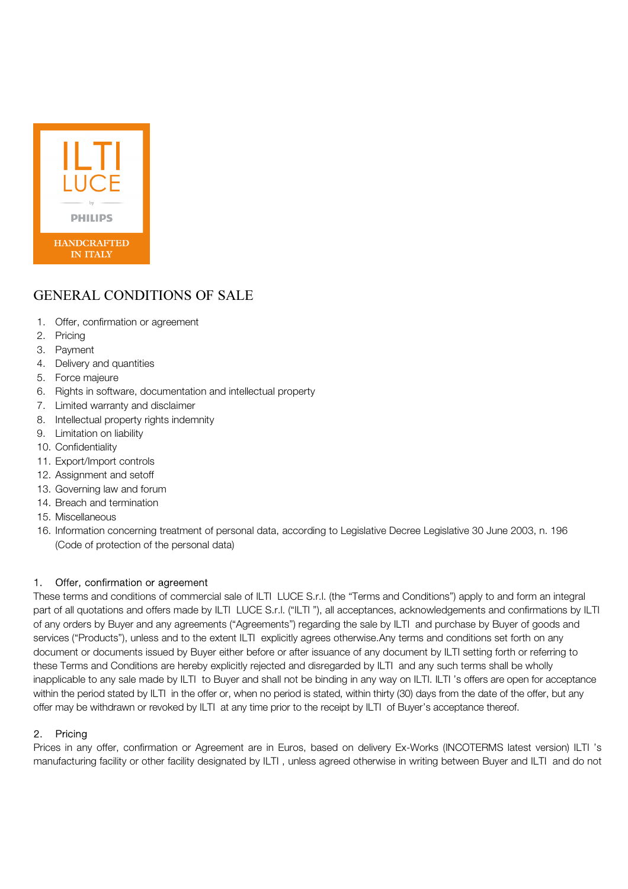

# GENERAL CONDITIONS OF SALE

- 1. Offer, confirmation or agreement
- 2. Pricing
- 3. Payment
- 4. Delivery and quantities
- 5. Force majeure
- 6. Rights in software, documentation and intellectual property
- 7. Limited warranty and disclaimer
- 8. Intellectual property rights indemnity
- 9. Limitation on liability
- 10. Confidentiality
- 11. Export/Import controls
- 12. Assignment and setoff
- 13. Governing law and forum
- 14. Breach and termination
- 15. Miscellaneous
- 16. Information concerning treatment of personal data, according to Legislative Decree Legislative 30 June 2003, n. 196 (Code of protection of the personal data)

# 1. Offer, confirmation or agreement

These terms and conditions of commercial sale of ILTI LUCE S.r.l. (the "Terms and Conditions") apply to and form an integral part of all quotations and offers made by ILTI LUCE S.r.l. ("ILTI "), all acceptances, acknowledgements and confirmations by ILTI of any orders by Buyer and any agreements ("Agreements") regarding the sale by ILTI and purchase by Buyer of goods and services ("Products"), unless and to the extent ILTI explicitly agrees otherwise.Any terms and conditions set forth on any document or documents issued by Buyer either before or after issuance of any document by ILTI setting forth or referring to these Terms and Conditions are hereby explicitly rejected and disregarded by ILTI and any such terms shall be wholly inapplicable to any sale made by ILTI to Buyer and shall not be binding in any way on ILTI. ILTI 's offers are open for acceptance within the period stated by ILTI in the offer or, when no period is stated, within thirty (30) days from the date of the offer, but any offer may be withdrawn or revoked by ILTI at any time prior to the receipt by ILTI of Buyer's acceptance thereof.

# 2. Pricing

Prices in any offer, confirmation or Agreement are in Euros, based on delivery Ex-Works (INCOTERMS latest version) ILTI 's manufacturing facility or other facility designated by ILTI , unless agreed otherwise in writing between Buyer and ILTI and do not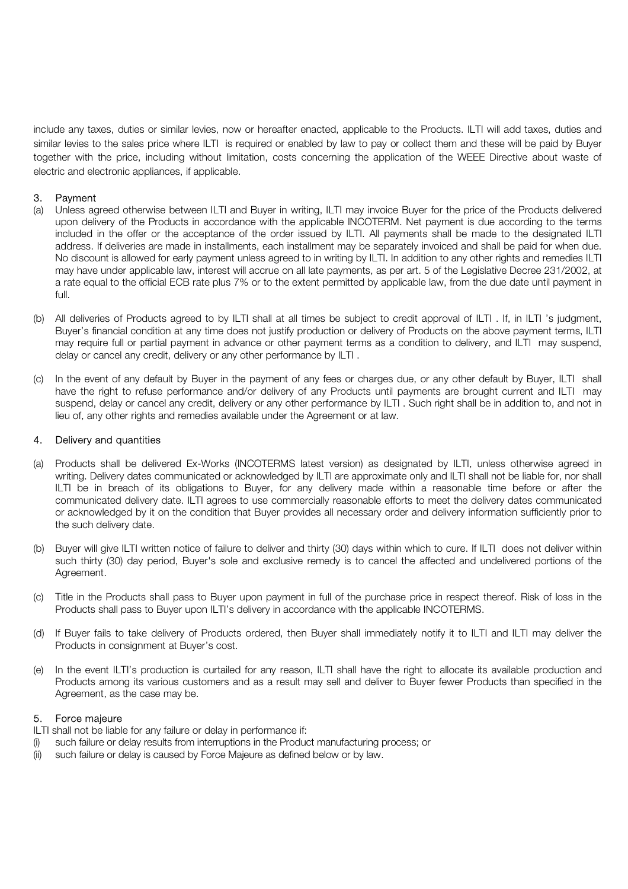include any taxes, duties or similar levies, now or hereafter enacted, applicable to the Products. ILTI will add taxes, duties and similar levies to the sales price where ILTI is required or enabled by law to pay or collect them and these will be paid by Buyer together with the price, including without limitation, costs concerning the application of the WEEE Directive about waste of electric and electronic appliances, if applicable.

# 3. Payment

- (a) Unless agreed otherwise between ILTI and Buyer in writing, ILTI may invoice Buyer for the price of the Products delivered upon delivery of the Products in accordance with the applicable INCOTERM. Net payment is due according to the terms included in the offer or the acceptance of the order issued by ILTI. All payments shall be made to the designated ILTI address. If deliveries are made in installments, each installment may be separately invoiced and shall be paid for when due. No discount is allowed for early payment unless agreed to in writing by ILTI. In addition to any other rights and remedies ILTI may have under applicable law, interest will accrue on all late payments, as per art. 5 of the Legislative Decree 231/2002, at a rate equal to the official ECB rate plus 7% or to the extent permitted by applicable law, from the due date until payment in full.
- (b) All deliveries of Products agreed to by ILTI shall at all times be subject to credit approval of ILTI . If, in ILTI 's judgment, Buyer's financial condition at any time does not justify production or delivery of Products on the above payment terms, ILTI may require full or partial payment in advance or other payment terms as a condition to delivery, and ILTI may suspend, delay or cancel any credit, delivery or any other performance by ILTI .
- (c) In the event of any default by Buyer in the payment of any fees or charges due, or any other default by Buyer, ILTI shall have the right to refuse performance and/or delivery of any Products until payments are brought current and ILTI may suspend, delay or cancel any credit, delivery or any other performance by ILTI . Such right shall be in addition to, and not in lieu of, any other rights and remedies available under the Agreement or at law.

## 4. Delivery and quantities

- (a) Products shall be delivered Ex-Works (INCOTERMS latest version) as designated by ILTI, unless otherwise agreed in writing. Delivery dates communicated or acknowledged by ILTI are approximate only and ILTI shall not be liable for, nor shall ILTI be in breach of its obligations to Buyer, for any delivery made within a reasonable time before or after the communicated delivery date. ILTI agrees to use commercially reasonable efforts to meet the delivery dates communicated or acknowledged by it on the condition that Buyer provides all necessary order and delivery information sufficiently prior to the such delivery date.
- (b) Buyer will give ILTI written notice of failure to deliver and thirty (30) days within which to cure. If ILTI does not deliver within such thirty (30) day period, Buyer's sole and exclusive remedy is to cancel the affected and undelivered portions of the Agreement.
- (c) Title in the Products shall pass to Buyer upon payment in full of the purchase price in respect thereof. Risk of loss in the Products shall pass to Buyer upon ILTI's delivery in accordance with the applicable INCOTERMS.
- (d) If Buyer fails to take delivery of Products ordered, then Buyer shall immediately notify it to ILTI and ILTI may deliver the Products in consignment at Buyer's cost.
- (e) In the event ILTI's production is curtailed for any reason, ILTI shall have the right to allocate its available production and Products among its various customers and as a result may sell and deliver to Buyer fewer Products than specified in the Agreement, as the case may be.

#### 5. Force majeure

ILTI shall not be liable for any failure or delay in performance if:

- (i) such failure or delay results from interruptions in the Product manufacturing process; or
- (ii) such failure or delay is caused by Force Majeure as defined below or by law.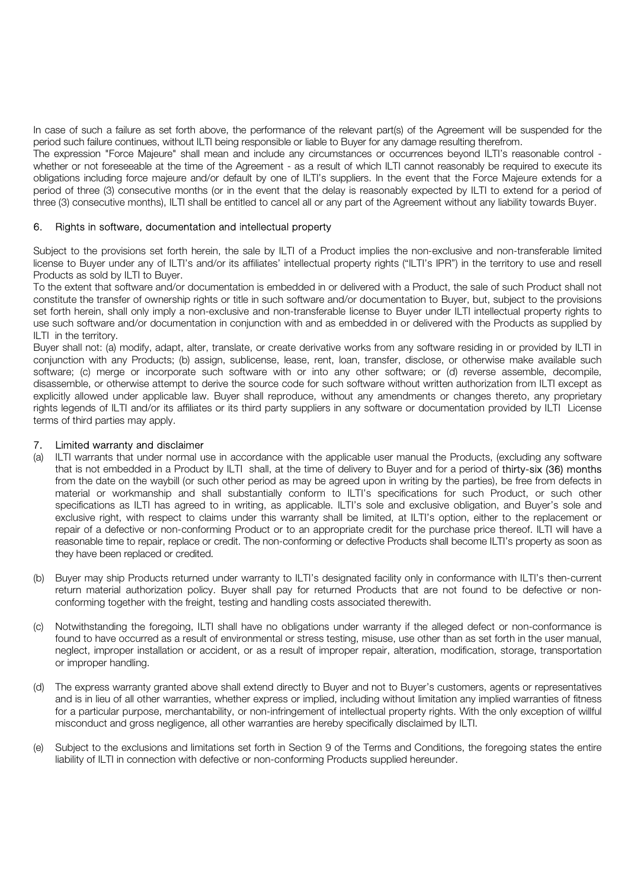In case of such a failure as set forth above, the performance of the relevant part(s) of the Agreement will be suspended for the period such failure continues, without ILTI being responsible or liable to Buyer for any damage resulting therefrom.

The expression "Force Majeure" shall mean and include any circumstances or occurrences beyond ILTI's reasonable control whether or not foreseeable at the time of the Agreement - as a result of which ILTI cannot reasonably be required to execute its obligations including force majeure and/or default by one of ILTI's suppliers. In the event that the Force Majeure extends for a period of three (3) consecutive months (or in the event that the delay is reasonably expected by ILTI to extend for a period of three (3) consecutive months), ILTI shall be entitled to cancel all or any part of the Agreement without any liability towards Buyer.

#### 6. Rights in software, documentation and intellectual property

Subject to the provisions set forth herein, the sale by ILTI of a Product implies the non-exclusive and non-transferable limited license to Buyer under any of ILTI's and/or its affiliates' intellectual property rights ("ILTI's IPR") in the territory to use and resell Products as sold by ILTI to Buyer.

To the extent that software and/or documentation is embedded in or delivered with a Product, the sale of such Product shall not constitute the transfer of ownership rights or title in such software and/or documentation to Buyer, but, subject to the provisions set forth herein, shall only imply a non-exclusive and non-transferable license to Buyer under ILTI intellectual property rights to use such software and/or documentation in conjunction with and as embedded in or delivered with the Products as supplied by ILTI in the territory.

Buyer shall not: (a) modify, adapt, alter, translate, or create derivative works from any software residing in or provided by ILTI in conjunction with any Products; (b) assign, sublicense, lease, rent, loan, transfer, disclose, or otherwise make available such software; (c) merge or incorporate such software with or into any other software; or (d) reverse assemble, decompile, disassemble, or otherwise attempt to derive the source code for such software without written authorization from ILTI except as explicitly allowed under applicable law. Buyer shall reproduce, without any amendments or changes thereto, any proprietary rights legends of ILTI and/or its affiliates or its third party suppliers in any software or documentation provided by ILTI License terms of third parties may apply.

#### 7. Limited warranty and disclaimer

- (a) ILTI warrants that under normal use in accordance with the applicable user manual the Products, (excluding any software that is not embedded in a Product by ILTI shall, at the time of delivery to Buyer and for a period of thirty-six (36) months from the date on the waybill (or such other period as may be agreed upon in writing by the parties), be free from defects in material or workmanship and shall substantially conform to ILTI's specifications for such Product, or such other specifications as ILTI has agreed to in writing, as applicable. ILTI's sole and exclusive obligation, and Buyer's sole and exclusive right, with respect to claims under this warranty shall be limited, at ILTI's option, either to the replacement or repair of a defective or non-conforming Product or to an appropriate credit for the purchase price thereof. ILTI will have a reasonable time to repair, replace or credit. The non-conforming or defective Products shall become ILTI's property as soon as they have been replaced or credited.
- (b) Buyer may ship Products returned under warranty to ILTI's designated facility only in conformance with ILTI's then-current return material authorization policy. Buyer shall pay for returned Products that are not found to be defective or nonconforming together with the freight, testing and handling costs associated therewith.
- (c) Notwithstanding the foregoing, ILTI shall have no obligations under warranty if the alleged defect or non-conformance is found to have occurred as a result of environmental or stress testing, misuse, use other than as set forth in the user manual, neglect, improper installation or accident, or as a result of improper repair, alteration, modification, storage, transportation or improper handling.
- (d) The express warranty granted above shall extend directly to Buyer and not to Buyer's customers, agents or representatives and is in lieu of all other warranties, whether express or implied, including without limitation any implied warranties of fitness for a particular purpose, merchantability, or non-infringement of intellectual property rights. With the only exception of willful misconduct and gross negligence, all other warranties are hereby specifically disclaimed by ILTI.
- (e) Subject to the exclusions and limitations set forth in Section 9 of the Terms and Conditions, the foregoing states the entire liability of ILTI in connection with defective or non-conforming Products supplied hereunder.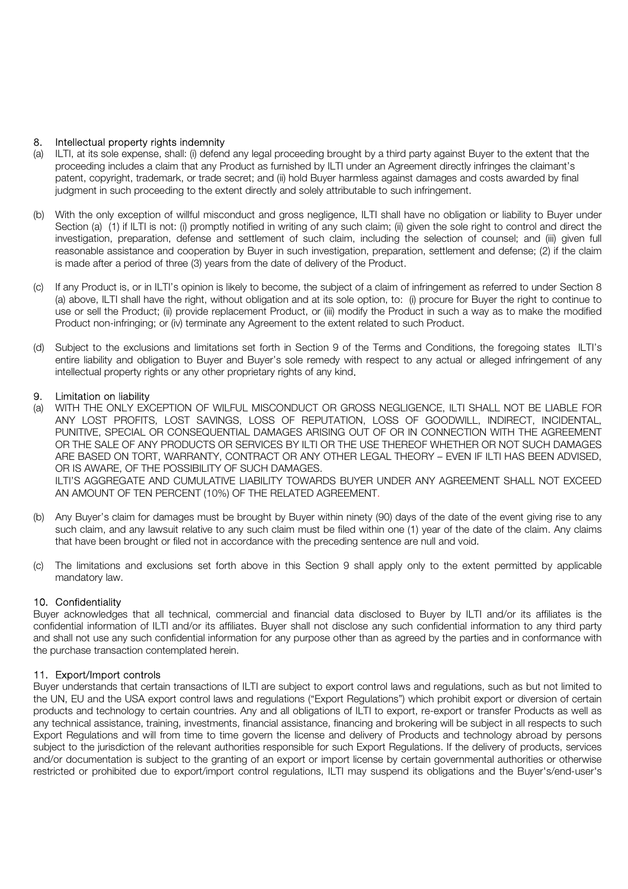## 8. Intellectual property rights indemnity

- (a) ILTI, at its sole expense, shall: (i) defend any legal proceeding brought by a third party against Buyer to the extent that the proceeding includes a claim that any Product as furnished by ILTI under an Agreement directly infringes the claimant's patent, copyright, trademark, or trade secret; and (ii) hold Buyer harmless against damages and costs awarded by final judgment in such proceeding to the extent directly and solely attributable to such infringement.
- (b) With the only exception of willful misconduct and gross negligence, ILTI shall have no obligation or liability to Buyer under Section (a) (1) if ILTI is not: (i) promptly notified in writing of any such claim; (ii) given the sole right to control and direct the investigation, preparation, defense and settlement of such claim, including the selection of counsel; and (iii) given full reasonable assistance and cooperation by Buyer in such investigation, preparation, settlement and defense; (2) if the claim is made after a period of three (3) years from the date of delivery of the Product.
- (c) If any Product is, or in ILTI's opinion is likely to become, the subject of a claim of infringement as referred to under Section 8 (a) above, ILTI shall have the right, without obligation and at its sole option, to: (i) procure for Buyer the right to continue to use or sell the Product; (ii) provide replacement Product, or (iii) modify the Product in such a way as to make the modified Product non-infringing; or (iv) terminate any Agreement to the extent related to such Product.
- (d) Subject to the exclusions and limitations set forth in Section 9 of the Terms and Conditions, the foregoing states ILTI's entire liability and obligation to Buyer and Buyer's sole remedy with respect to any actual or alleged infringement of any intellectual property rights or any other proprietary rights of any kind.

#### 9. Limitation on liability

- (a) WITH THE ONLY EXCEPTION OF WILFUL MISCONDUCT OR GROSS NEGLIGENCE, ILTI SHALL NOT BE LIABLE FOR ANY LOST PROFITS, LOST SAVINGS, LOSS OF REPUTATION, LOSS OF GOODWILL, INDIRECT, INCIDENTAL, PUNITIVE, SPECIAL OR CONSEQUENTIAL DAMAGES ARISING OUT OF OR IN CONNECTION WITH THE AGREEMENT OR THE SALE OF ANY PRODUCTS OR SERVICES BY ILTI OR THE USE THEREOF WHETHER OR NOT SUCH DAMAGES ARE BASED ON TORT, WARRANTY, CONTRACT OR ANY OTHER LEGAL THEORY – EVEN IF ILTI HAS BEEN ADVISED, OR IS AWARE, OF THE POSSIBILITY OF SUCH DAMAGES. ILTI'S AGGREGATE AND CUMULATIVE LIABILITY TOWARDS BUYER UNDER ANY AGREEMENT SHALL NOT EXCEED AN AMOUNT OF TEN PERCENT (10%) OF THE RELATED AGREEMENT.
- (b) Any Buyer's claim for damages must be brought by Buyer within ninety (90) days of the date of the event giving rise to any such claim, and any lawsuit relative to any such claim must be filed within one (1) year of the date of the claim. Any claims that have been brought or filed not in accordance with the preceding sentence are null and void.
- (c) The limitations and exclusions set forth above in this Section 9 shall apply only to the extent permitted by applicable mandatory law.

# 10. Confidentiality

Buyer acknowledges that all technical, commercial and financial data disclosed to Buyer by ILTI and/or its affiliates is the confidential information of ILTI and/or its affiliates. Buyer shall not disclose any such confidential information to any third party and shall not use any such confidential information for any purpose other than as agreed by the parties and in conformance with the purchase transaction contemplated herein.

# 11. Export/Import controls

Buyer understands that certain transactions of ILTI are subject to export control laws and regulations, such as but not limited to the UN, EU and the USA export control laws and regulations ("Export Regulations") which prohibit export or diversion of certain products and technology to certain countries. Any and all obligations of ILTI to export, re-export or transfer Products as well as any technical assistance, training, investments, financial assistance, financing and brokering will be subject in all respects to such Export Regulations and will from time to time govern the license and delivery of Products and technology abroad by persons subject to the jurisdiction of the relevant authorities responsible for such Export Regulations. If the delivery of products, services and/or documentation is subject to the granting of an export or import license by certain governmental authorities or otherwise restricted or prohibited due to export/import control regulations, ILTI may suspend its obligations and the Buyer's/end-user's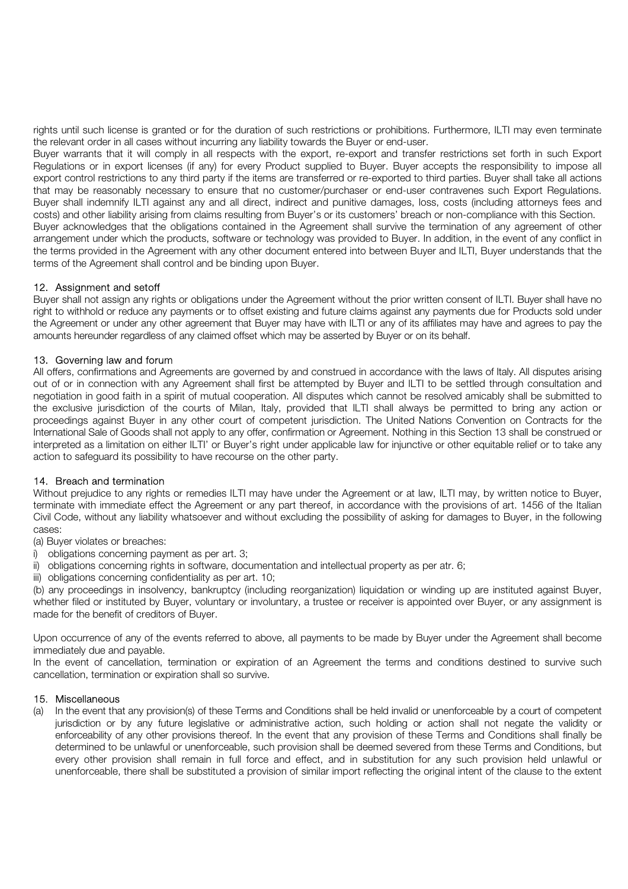rights until such license is granted or for the duration of such restrictions or prohibitions. Furthermore, ILTI may even terminate the relevant order in all cases without incurring any liability towards the Buyer or end-user.

Buyer warrants that it will comply in all respects with the export, re-export and transfer restrictions set forth in such Export Regulations or in export licenses (if any) for every Product supplied to Buyer. Buyer accepts the responsibility to impose all export control restrictions to any third party if the items are transferred or re-exported to third parties. Buyer shall take all actions that may be reasonably necessary to ensure that no customer/purchaser or end-user contravenes such Export Regulations. Buyer shall indemnify ILTI against any and all direct, indirect and punitive damages, loss, costs (including attorneys fees and costs) and other liability arising from claims resulting from Buyer's or its customers' breach or non-compliance with this Section. Buyer acknowledges that the obligations contained in the Agreement shall survive the termination of any agreement of other arrangement under which the products, software or technology was provided to Buyer. In addition, in the event of any conflict in the terms provided in the Agreement with any other document entered into between Buyer and ILTI, Buyer understands that the terms of the Agreement shall control and be binding upon Buyer.

# 12. Assignment and setoff

Buyer shall not assign any rights or obligations under the Agreement without the prior written consent of ILTI. Buyer shall have no right to withhold or reduce any payments or to offset existing and future claims against any payments due for Products sold under the Agreement or under any other agreement that Buyer may have with ILTI or any of its affiliates may have and agrees to pay the amounts hereunder regardless of any claimed offset which may be asserted by Buyer or on its behalf.

# 13. Governing law and forum

All offers, confirmations and Agreements are governed by and construed in accordance with the laws of Italy. All disputes arising out of or in connection with any Agreement shall first be attempted by Buyer and ILTI to be settled through consultation and negotiation in good faith in a spirit of mutual cooperation. All disputes which cannot be resolved amicably shall be submitted to the exclusive jurisdiction of the courts of Milan, Italy, provided that ILTI shall always be permitted to bring any action or proceedings against Buyer in any other court of competent jurisdiction. The United Nations Convention on Contracts for the International Sale of Goods shall not apply to any offer, confirmation or Agreement. Nothing in this Section 13 shall be construed or interpreted as a limitation on either ILTI' or Buyer's right under applicable law for injunctive or other equitable relief or to take any action to safeguard its possibility to have recourse on the other party.

# 14. Breach and termination

Without prejudice to any rights or remedies ILTI may have under the Agreement or at law, ILTI may, by written notice to Buyer, terminate with immediate effect the Agreement or any part thereof, in accordance with the provisions of art. 1456 of the Italian Civil Code, without any liability whatsoever and without excluding the possibility of asking for damages to Buyer, in the following cases:

(a) Buyer violates or breaches:

- i) obligations concerning payment as per art. 3;
- ii) obligations concerning rights in software, documentation and intellectual property as per atr. 6;

iii) obligations concerning confidentiality as per art. 10;

(b) any proceedings in insolvency, bankruptcy (including reorganization) liquidation or winding up are instituted against Buyer, whether filed or instituted by Buyer, voluntary or involuntary, a trustee or receiver is appointed over Buyer, or any assignment is made for the benefit of creditors of Buyer.

Upon occurrence of any of the events referred to above, all payments to be made by Buyer under the Agreement shall become immediately due and payable.

In the event of cancellation, termination or expiration of an Agreement the terms and conditions destined to survive such cancellation, termination or expiration shall so survive.

#### 15. Miscellaneous

(a) In the event that any provision(s) of these Terms and Conditions shall be held invalid or unenforceable by a court of competent jurisdiction or by any future legislative or administrative action, such holding or action shall not negate the validity or enforceability of any other provisions thereof. In the event that any provision of these Terms and Conditions shall finally be determined to be unlawful or unenforceable, such provision shall be deemed severed from these Terms and Conditions, but every other provision shall remain in full force and effect, and in substitution for any such provision held unlawful or unenforceable, there shall be substituted a provision of similar import reflecting the original intent of the clause to the extent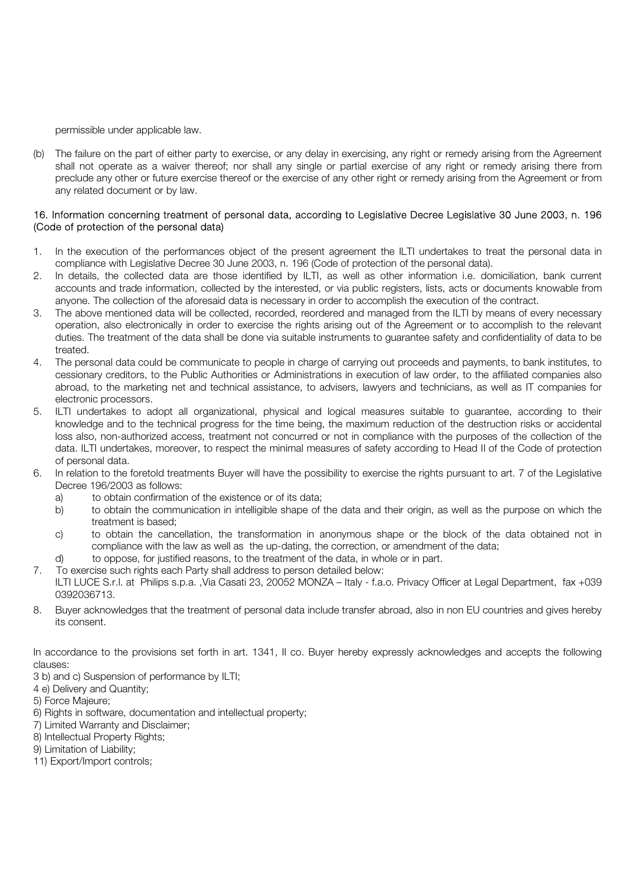permissible under applicable law.

(b) The failure on the part of either party to exercise, or any delay in exercising, any right or remedy arising from the Agreement shall not operate as a waiver thereof; nor shall any single or partial exercise of any right or remedy arising there from preclude any other or future exercise thereof or the exercise of any other right or remedy arising from the Agreement or from any related document or by law.

## 16. Information concerning treatment of personal data, according to Legislative Decree Legislative 30 June 2003, n. 196 (Code of protection of the personal data)

- 1. In the execution of the performances object of the present agreement the ILTI undertakes to treat the personal data in compliance with Legislative Decree 30 June 2003, n. 196 (Code of protection of the personal data).
- 2. In details, the collected data are those identified by ILTI, as well as other information i.e. domiciliation, bank current accounts and trade information, collected by the interested, or via public registers, lists, acts or documents knowable from anyone. The collection of the aforesaid data is necessary in order to accomplish the execution of the contract.
- 3. The above mentioned data will be collected, recorded, reordered and managed from the ILTI by means of every necessary operation, also electronically in order to exercise the rights arising out of the Agreement or to accomplish to the relevant duties. The treatment of the data shall be done via suitable instruments to guarantee safety and confidentiality of data to be treated.
- 4. The personal data could be communicate to people in charge of carrying out proceeds and payments, to bank institutes, to cessionary creditors, to the Public Authorities or Administrations in execution of law order, to the affiliated companies also abroad, to the marketing net and technical assistance, to advisers, lawyers and technicians, as well as IT companies for electronic processors.
- 5. ILTI undertakes to adopt all organizational, physical and logical measures suitable to guarantee, according to their knowledge and to the technical progress for the time being, the maximum reduction of the destruction risks or accidental loss also, non-authorized access, treatment not concurred or not in compliance with the purposes of the collection of the data. ILTI undertakes, moreover, to respect the minimal measures of safety according to Head II of the Code of protection of personal data.
- 6. In relation to the foretold treatments Buyer will have the possibility to exercise the rights pursuant to art. 7 of the Legislative Decree 196/2003 as follows:
	- a) to obtain confirmation of the existence or of its data;
	- b) to obtain the communication in intelligible shape of the data and their origin, as well as the purpose on which the treatment is based;
	- c) to obtain the cancellation, the transformation in anonymous shape or the block of the data obtained not in compliance with the law as well as the up-dating, the correction, or amendment of the data;
	- d) to oppose, for justified reasons, to the treatment of the data, in whole or in part.
- 7. To exercise such rights each Party shall address to person detailed below: ILTI LUCE S.r.l. at Philips s.p.a. ,Via Casati 23, 20052 MONZA – Italy - f.a.o. Privacy Officer at Legal Department, fax +039 0392036713.
- 8. Buyer acknowledges that the treatment of personal data include transfer abroad, also in non EU countries and gives hereby its consent.

In accordance to the provisions set forth in art. 1341, II co. Buyer hereby expressly acknowledges and accepts the following clauses:

- 3 b) and c) Suspension of performance by ILTI;
- 4 e) Delivery and Quantity;
- 5) Force Majeure;
- 6) Rights in software, documentation and intellectual property;
- 7) Limited Warranty and Disclaimer;
- 8) Intellectual Property Rights;
- 9) Limitation of Liability;
- 11) Export/Import controls;